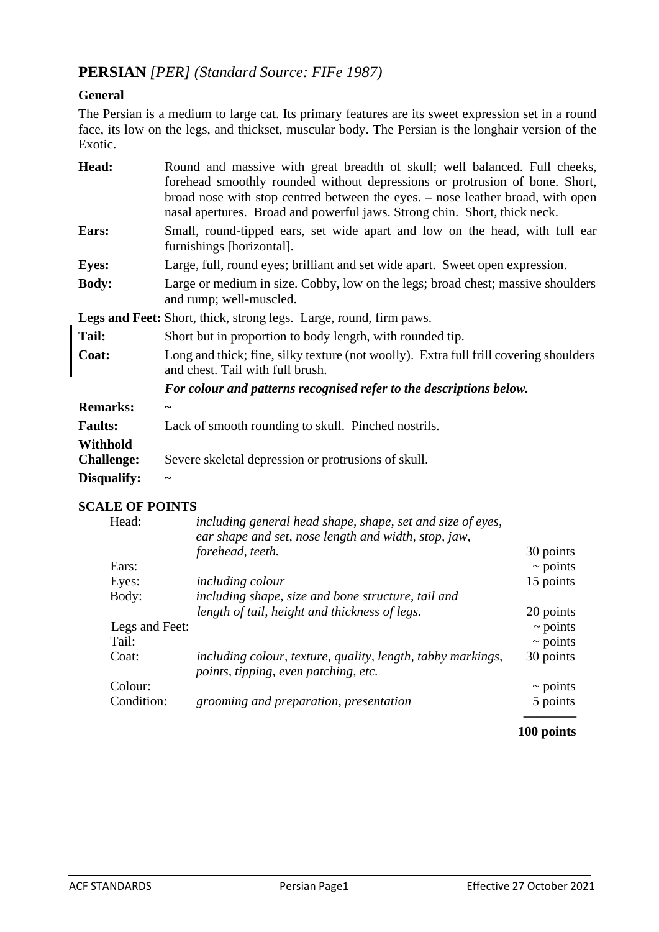# **PERSIAN** *[PER] (Standard Source: FIFe 1987)*

## **General**

The Persian is a medium to large cat. Its primary features are its sweet expression set in a round face, its low on the legs, and thickset, muscular body. The Persian is the longhair version of the Exotic.

| Head:                                                                     | Round and massive with great breadth of skull; well balanced. Full cheeks,<br>forehead smoothly rounded without depressions or protrusion of bone. Short,<br>broad nose with stop centred between the eyes. – nose leather broad, with open<br>nasal apertures. Broad and powerful jaws. Strong chin. Short, thick neck. |  |  |
|---------------------------------------------------------------------------|--------------------------------------------------------------------------------------------------------------------------------------------------------------------------------------------------------------------------------------------------------------------------------------------------------------------------|--|--|
| Ears:                                                                     | Small, round-tipped ears, set wide apart and low on the head, with full ear<br>furnishings [horizontal].                                                                                                                                                                                                                 |  |  |
| <b>Eyes:</b>                                                              | Large, full, round eyes; brilliant and set wide apart. Sweet open expression.                                                                                                                                                                                                                                            |  |  |
| <b>Body:</b>                                                              | Large or medium in size. Cobby, low on the legs; broad chest; massive shoulders<br>and rump; well-muscled.                                                                                                                                                                                                               |  |  |
| <b>Legs and Feet:</b> Short, thick, strong legs. Large, round, firm paws. |                                                                                                                                                                                                                                                                                                                          |  |  |
| Tail:                                                                     | Short but in proportion to body length, with rounded tip.                                                                                                                                                                                                                                                                |  |  |
| Coat:                                                                     | Long and thick; fine, silky texture (not woolly). Extra full frill covering shoulders<br>and chest. Tail with full brush.                                                                                                                                                                                                |  |  |
|                                                                           | For colour and patterns recognised refer to the descriptions below.                                                                                                                                                                                                                                                      |  |  |
| <b>Remarks:</b>                                                           | $\tilde{\phantom{a}}$                                                                                                                                                                                                                                                                                                    |  |  |
| <b>Faults:</b>                                                            | Lack of smooth rounding to skull. Pinched nostrils.                                                                                                                                                                                                                                                                      |  |  |
| Withhold                                                                  |                                                                                                                                                                                                                                                                                                                          |  |  |
| <b>Challenge:</b>                                                         | Severe skeletal depression or protrusions of skull.                                                                                                                                                                                                                                                                      |  |  |
| Disqualify:                                                               | J                                                                                                                                                                                                                                                                                                                        |  |  |

## **SCALE OF POINTS**

| Head:          | including general head shape, shape, set and size of eyes,<br>ear shape and set, nose length and width, stop, jaw, |               |
|----------------|--------------------------------------------------------------------------------------------------------------------|---------------|
|                | forehead, teeth.                                                                                                   | 30 points     |
| Ears:          |                                                                                                                    | $\sim$ points |
| Eyes:          | <i>including colour</i>                                                                                            | 15 points     |
| Body:          | including shape, size and bone structure, tail and                                                                 |               |
|                | length of tail, height and thickness of legs.                                                                      | 20 points     |
| Legs and Feet: |                                                                                                                    | $\sim$ points |
| Tail:          |                                                                                                                    | $\sim$ points |
| Coat:          | including colour, texture, quality, length, tabby markings,<br>points, tipping, even patching, etc.                | 30 points     |
| Colour:        |                                                                                                                    | $\sim$ points |
| Condition:     | grooming and preparation, presentation                                                                             | 5 points      |

## **100 points**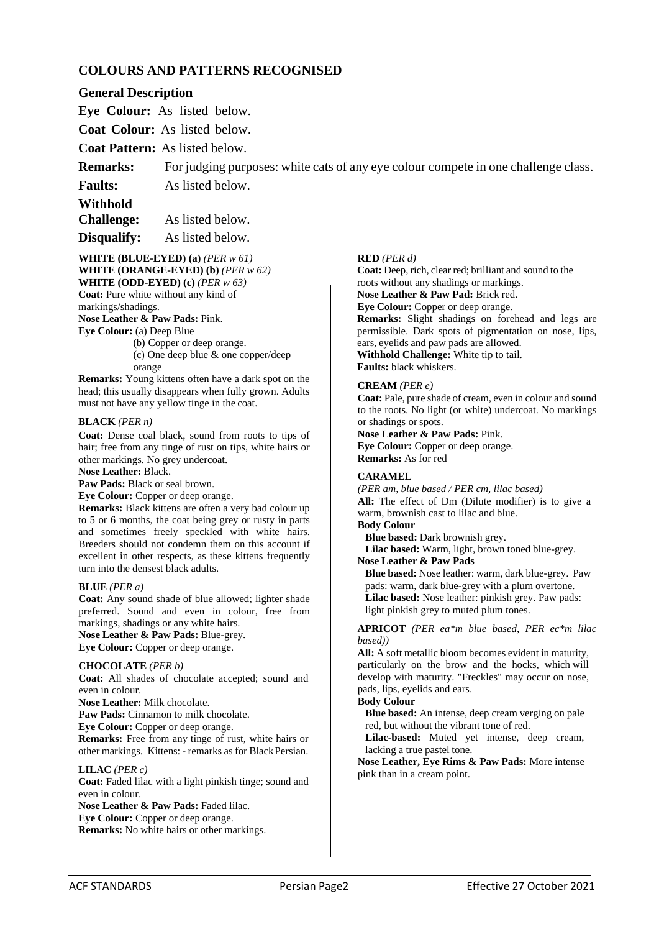## **COLOURS AND PATTERNS RECOGNISED**

## **General Description**

**Eye Colour:** As listed below.

**Coat Colour:** As listed below.

**Coat Pattern:** As listed below.

**Remarks:** For judging purposes: white cats of any eye colour compete in one challenge class.

**Faults:** As listed below.

**Withhold**

**Challenge:** As listed below.

**Disqualify:** As listed below.

### **WHITE (BLUE-EYED) (a)** *(PER w 61)* **WHITE (ORANGE-EYED) (b)** *(PER w 62)* **WHITE (ODD-EYED) (c)** *(PER w 63)*

**Coat:** Pure white without any kind of

markings/shadings.

**Nose Leather & Paw Pads:** Pink.

**Eye Colour:** (a) Deep Blue

(b) Copper or deep orange.

(c) One deep blue & one copper/deep orange

**Remarks:** Young kittens often have a dark spot on the head; this usually disappears when fully grown. Adults must not have any yellow tinge in the coat.

### **BLACK** *(PER n)*

**Coat:** Dense coal black, sound from roots to tips of hair; free from any tinge of rust on tips, white hairs or other markings. No grey undercoat.

**Nose Leather:** Black.

**Paw Pads:** Black or seal brown.

**Eye Colour:** Copper or deep orange.

**Remarks:** Black kittens are often a very bad colour up to 5 or 6 months, the coat being grey or rusty in parts and sometimes freely speckled with white hairs. Breeders should not condemn them on this account if excellent in other respects, as these kittens frequently turn into the densest black adults.

### **BLUE** *(PER a)*

**Coat:** Any sound shade of blue allowed; lighter shade preferred. Sound and even in colour, free from markings, shadings or any white hairs. **Nose Leather & Paw Pads:** Blue-grey.

**Eye Colour:** Copper or deep orange.

### **CHOCOLATE** *(PER b)*

**Coat:** All shades of chocolate accepted; sound and even in colour.

**Nose Leather:** Milk chocolate.

**Paw Pads:** Cinnamon to milk chocolate.

**Eye Colour:** Copper or deep orange.

**Remarks:** Free from any tinge of rust, white hairs or other markings. Kittens: - remarks as for BlackPersian.

### **LILAC** *(PER c)*

**Coat:** Faded lilac with a light pinkish tinge; sound and even in colour.

**Nose Leather & Paw Pads:** Faded lilac.

**Eye Colour:** Copper or deep orange.

**Remarks:** No white hairs or other markings.

## **RED** *(PER d)*

**Coat:** Deep, rich, clear red; brilliant and sound to the roots without any shadings or markings.

**Nose Leather & Paw Pad:** Brick red.

**Eye Colour:** Copper or deep orange.

**Remarks:** Slight shadings on forehead and legs are permissible. Dark spots of pigmentation on nose, lips, ears, eyelids and paw pads are allowed.

**Withhold Challenge:** White tip to tail. **Faults:** black whiskers.

## **CREAM** *(PER e)*

**Coat:** Pale, pure shade of cream, even in colour and sound to the roots. No light (or white) undercoat. No markings or shadings or spots.

**Nose Leather & Paw Pads:** Pink. **Eye Colour:** Copper or deep orange. **Remarks:** As for red

### **CARAMEL**

*(PER am, blue based / PER cm, lilac based)*  **All:** The effect of Dm (Dilute modifier) is to give a warm, brownish cast to lilac and blue. **Body Colour** 

**Blue based:** Dark brownish grey. **Lilac based:** Warm, light, brown toned blue-grey.

**Nose Leather & Paw Pads**

**Blue based:** Nose leather: warm, dark blue-grey. Paw pads: warm, dark blue-grey with a plum overtone. **Lilac based:** Nose leather: pinkish grey. Paw pads: light pinkish grey to muted plum tones.

### **APRICOT** *(PER ea\*m blue based, PER ec\*m lilac based))*

**All:** A soft metallic bloom becomes evident in maturity, particularly on the brow and the hocks, which will develop with maturity. "Freckles" may occur on nose, pads, lips, eyelids and ears.

### **Body Colour**

**Blue based:** An intense, deep cream verging on pale red, but without the vibrant tone of red.

**Lilac-based:** Muted yet intense, deep cream, lacking a true pastel tone.

**Nose Leather, Eye Rims & Paw Pads:** More intense pink than in a cream point.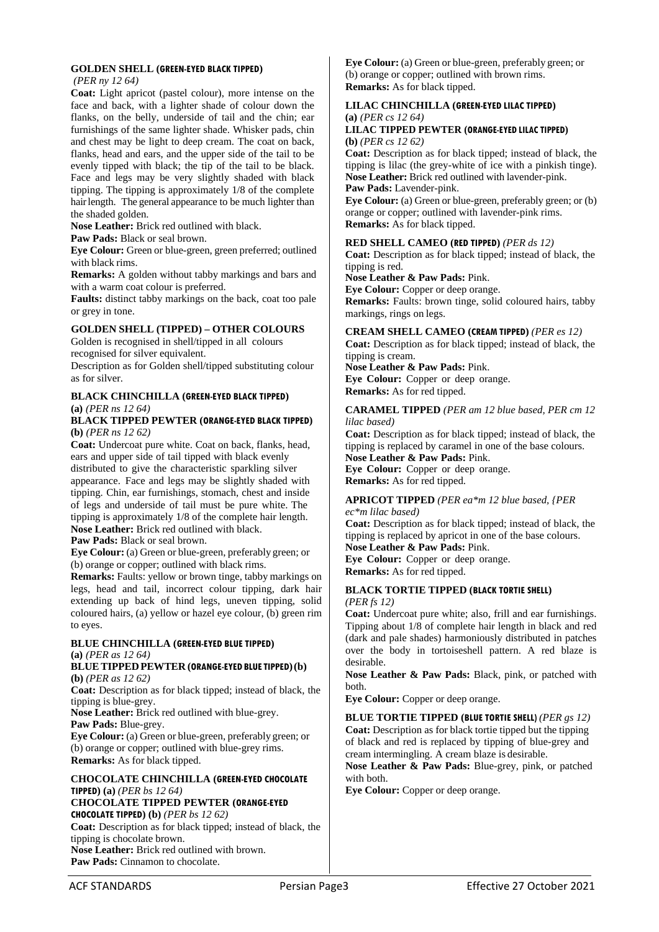### **GOLDEN SHELL (GREEN-EYED BLACK TIPPED)**

*(PER ny 12 64)* 

**Coat:** Light apricot (pastel colour), more intense on the face and back, with a lighter shade of colour down the flanks, on the belly, underside of tail and the chin; ear furnishings of the same lighter shade. Whisker pads, chin and chest may be light to deep cream. The coat on back, flanks, head and ears, and the upper side of the tail to be evenly tipped with black; the tip of the tail to be black. Face and legs may be very slightly shaded with black tipping. The tipping is approximately 1/8 of the complete hair length. The general appearance to be much lighter than the shaded golden.

**Nose Leather:** Brick red outlined with black.

**Paw Pads:** Black or seal brown.

**Eye Colour:** Green or blue-green, green preferred; outlined with black rims.

**Remarks:** A golden without tabby markings and bars and with a warm coat colour is preferred.

**Faults:** distinct tabby markings on the back, coat too pale or grey in tone.

## **GOLDEN SHELL (TIPPED) – OTHER COLOURS**

Golden is recognised in shell/tipped in all colours recognised for silver equivalent.

Description as for Golden shell/tipped substituting colour as for silver.

### **BLACK CHINCHILLA (GREEN-EYED BLACK TIPPED) (a)** *(PER ns 12 64)*

### **BLACK TIPPED PEWTER (ORANGE-EYED BLACK TIPPED) (b)** *(PER ns 12 62)*

**Coat:** Undercoat pure white. Coat on back, flanks, head, ears and upper side of tail tipped with black evenly distributed to give the characteristic sparkling silver appearance. Face and legs may be slightly shaded with tipping. Chin, ear furnishings, stomach, chest and inside of legs and underside of tail must be pure white. The tipping is approximately 1/8 of the complete hair length. **Nose Leather:** Brick red outlined with black.

**Paw Pads:** Black or seal brown.

**Eye Colour:** (a) Green or blue-green, preferably green; or (b) orange or copper; outlined with black rims.

**Remarks:** Faults: yellow or brown tinge, tabby markings on legs, head and tail, incorrect colour tipping, dark hair extending up back of hind legs, uneven tipping, solid coloured hairs, (a) yellow or hazel eye colour, (b) green rim to eyes.

### **BLUE CHINCHILLA (GREEN-EYED BLUE TIPPED) (a)** *(PER as 12 64)*

### **BLUETIPPEDPEWTER (ORANGE-EYED BLUE TIPPED) (b) (b)** *(PER as 12 62)*

**Coat:** Description as for black tipped; instead of black, the tipping is blue-grey.

**Nose Leather:** Brick red outlined with blue-grey. **Paw Pads:** Blue-grey.

**Eye Colour:** (a) Green or blue-green, preferably green; or (b) orange or copper; outlined with blue-grey rims. **Remarks:** As for black tipped.

## **CHOCOLATE CHINCHILLA (GREEN-EYED CHOCOLATE TIPPED) (a)** *(PER bs 12 64)*

#### **CHOCOLATE TIPPED PEWTER (ORANGE-EYED CHOCOLATE TIPPED) (b)** *(PER bs 12 62)*

**Coat:** Description as for black tipped; instead of black, the tipping is chocolate brown. **Nose Leather:** Brick red outlined with brown. **Paw Pads:** Cinnamon to chocolate.

**Eye Colour:** (a) Green or blue-green, preferably green; or (b) orange or copper; outlined with brown rims. **Remarks:** As for black tipped.

## **LILAC CHINCHILLA (GREEN-EYED LILAC TIPPED) (a)** *(PER cs 12 64)*

### **LILAC TIPPED PEWTER (ORANGE-EYED LILAC TIPPED) (b)** *(PER cs 12 62)*

**Coat:** Description as for black tipped; instead of black, the tipping is lilac (the grey-white of ice with a pinkish tinge). **Nose Leather:** Brick red outlined with lavender-pink. **Paw Pads:** Lavender-pink.

**Eye Colour:** (a) Green or blue-green, preferably green; or (b) orange or copper; outlined with lavender-pink rims. **Remarks:** As for black tipped.

## **RED SHELL CAMEO (RED TIPPED)** *(PER ds 12)*

**Coat:** Description as for black tipped; instead of black, the tipping is red.

**Nose Leather & Paw Pads:** Pink.

**Eye Colour:** Copper or deep orange. **Remarks:** Faults: brown tinge, solid coloured hairs, tabby markings, rings on legs.

## **CREAM SHELL CAMEO (CREAM TIPPED)** *(PER es 12)*

**Coat:** Description as for black tipped; instead of black, the tipping is cream.

**Nose Leather & Paw Pads:** Pink. **Eye Colour:** Copper or deep orange. **Remarks:** As for red tipped.

### **CARAMEL TIPPED** *(PER am 12 blue based, PER cm 12 lilac based)*

**Coat:** Description as for black tipped; instead of black, the tipping is replaced by caramel in one of the base colours. **Nose Leather & Paw Pads:** Pink. **Eye Colour:** Copper or deep orange. **Remarks:** As for red tipped.

## **APRICOT TIPPED** *(PER ea\*m 12 blue based, {PER*

*ec\*m lilac based)* **Coat:** Description as for black tipped; instead of black, the tipping is replaced by apricot in one of the base colours. **Nose Leather & Paw Pads:** Pink.

**Eye Colour:** Copper or deep orange. **Remarks:** As for red tipped.

### **BLACK TORTIE TIPPED (BLACK TORTIE SHELL)**  *(PER fs 12)*

**Coat:** Undercoat pure white; also, frill and ear furnishings. Tipping about 1/8 of complete hair length in black and red (dark and pale shades) harmoniously distributed in patches over the body in tortoiseshell pattern. A red blaze is desirable.

**Nose Leather & Paw Pads:** Black, pink, or patched with both.

**Eye Colour:** Copper or deep orange.

# **BLUE TORTIE TIPPED (BLUE TORTIE SHELL)** *(PER gs 12)*

**Coat:** Description as for black tortie tipped but the tipping of black and red is replaced by tipping of blue-grey and cream intermingling. A cream blaze is desirable.

**Nose Leather & Paw Pads:** Blue-grey, pink, or patched with both.

**Eye Colour:** Copper or deep orange.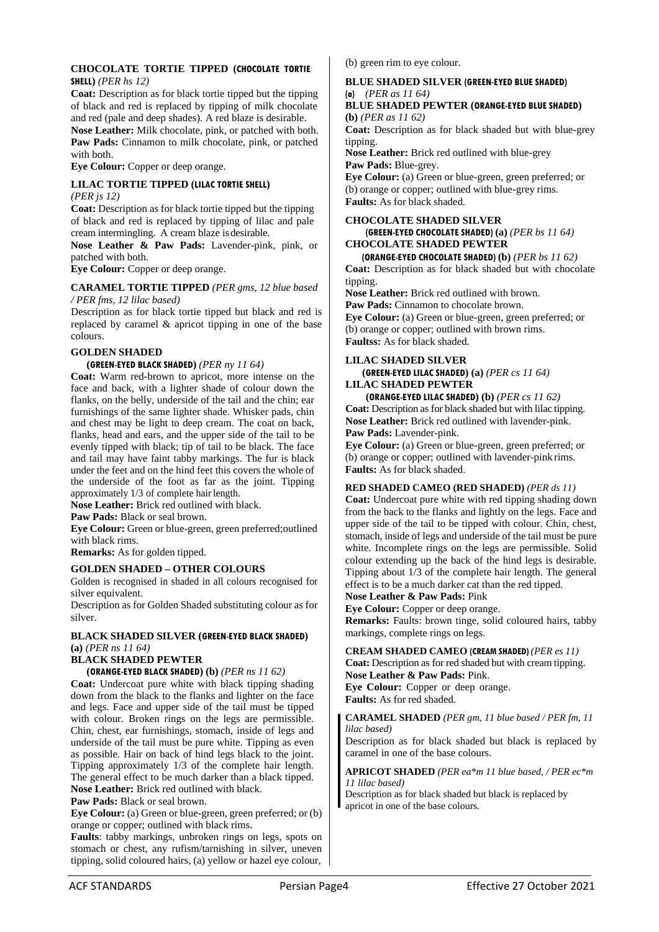### **CHOCOLATE TORTIE TIPPED (CHOCOLATE TORTIE SHELL)** *(PER hs 12)*

**Coat:** Description as for black tortie tipped but the tipping of black and red is replaced by tipping of milk chocolate and red (pale and deep shades). A red blaze is desirable.

**Nose Leather:** Milk chocolate, pink, or patched with both. **Paw Pads:** Cinnamon to milk chocolate, pink, or patched with both.

**Eye Colour:** Copper or deep orange.

#### **LILAC TORTIE TIPPED (LILAC TORTIE SHELL)**  *(PER js 12)*

**Coat:** Description as for black tortie tipped but the tipping of black and red is replaced by tipping of lilac and pale cream intermingling. A cream blaze isdesirable.

**Nose Leather & Paw Pads:** Lavender-pink, pink, or patched with both.

**Eye Colour:** Copper or deep orange.

### **CARAMEL TORTIE TIPPED** *(PER gms, 12 blue based / PER fms, 12 lilac based)*

Description as for black tortie tipped but black and red is replaced by caramel & apricot tipping in one of the base colours.

## **GOLDEN SHADED**

### **(GREEN-EYED BLACK SHADED)** *(PER ny 11 64)*

**Coat:** Warm red-brown to apricot, more intense on the face and back, with a lighter shade of colour down the flanks, on the belly, underside of the tail and the chin; ear furnishings of the same lighter shade. Whisker pads, chin and chest may be light to deep cream. The coat on back, flanks, head and ears, and the upper side of the tail to be evenly tipped with black; tip of tail to be black. The face and tail may have faint tabby markings. The fur is black under the feet and on the hind feet this covers the whole of the underside of the foot as far as the joint. Tipping approximately 1/3 of complete hair length.

**Nose Leather:** Brick red outlined with black.

**Paw Pads:** Black or seal brown.

**Eye Colour:** Green or blue-green, green preferred; outlined with black rims.

**Remarks:** As for golden tipped.

### **GOLDEN SHADED – OTHER COLOURS**

Golden is recognised in shaded in all colours recognised for silver equivalent.

Description as for Golden Shaded substituting colour as for silver.

## **BLACK SHADED SILVER (GREEN-EYED BLACK SHADED) (a)** *(PER ns 11 64)*

## **BLACK SHADED PEWTER**

## **(ORANGE-EYED BLACK SHADED) (b)** *(PER ns 11 62)*

**Coat:** Undercoat pure white with black tipping shading down from the black to the flanks and lighter on the face and legs. Face and upper side of the tail must be tipped with colour. Broken rings on the legs are permissible. Chin, chest, ear furnishings, stomach, inside of legs and underside of the tail must be pure white. Tipping as even as possible. Hair on back of hind legs black to the joint. Tipping approximately 1/3 of the complete hair length. The general effect to be much darker than a black tipped. **Nose Leather:** Brick red outlined with black.

**Paw Pads:** Black or seal brown.

**Eye Colour:** (a) Green or blue-green, green preferred; or (b) orange or copper; outlined with black rims.

**Faults**: tabby markings, unbroken rings on legs, spots on stomach or chest, any rufism/tarnishing in silver, uneven tipping, solid coloured hairs, (a) yellow or hazel eye colour, (b) green rim to eye colour.

### **BLUE SHADED SILVER (GREEN-EYED BLUE SHADED) (a)** *(PER as 11 64)*

### **BLUE SHADED PEWTER (ORANGE-EYED BLUE SHADED) (b)** *(PER as 11 62)*

**Coat:** Description as for black shaded but with blue-grey tipping.

**Nose Leather:** Brick red outlined with blue-grey **Paw Pads:** Blue-grey.

**Eye Colour:** (a) Green or blue-green, green preferred; or (b) orange or copper; outlined with blue-grey rims. **Faults:** As for black shaded.

## **CHOCOLATE SHADED SILVER (GREEN-EYED CHOCOLATE SHADED) (a)** *(PER bs 11 64)*

#### **CHOCOLATE SHADED PEWTER (ORANGE-EYED CHOCOLATE SHADED) (b)** *(PER bs 11 62)*

**Coat:** Description as for black shaded but with chocolate tipping.

**Nose Leather:** Brick red outlined with brown.

**Paw Pads:** Cinnamon to chocolate brown. **Eye Colour:** (a) Green or blue-green, green preferred; or (b) orange or copper; outlined with brown rims. **Faultss:** As for black shaded.

### **LILAC SHADED SILVER**

**(GREEN-EYED LILAC SHADED) (a)** *(PER cs 11 64)* **LILAC SHADED PEWTER**

**(ORANGE-EYED LILAC SHADED) (b)** *(PER cs 11 62)*  **Coat:** Description as for black shaded but with lilac tipping. **Nose Leather:** Brick red outlined with lavender-pink. **Paw Pads:** Lavender-pink.

**Eye Colour:** (a) Green or blue-green, green preferred; or (b) orange or copper; outlined with lavender-pink rims. **Faults:** As for black shaded.

### **RED SHADED CAMEO (RED SHADED)** *(PER ds 11)*

**Coat:** Undercoat pure white with red tipping shading down from the back to the flanks and lightly on the legs. Face and upper side of the tail to be tipped with colour. Chin, chest, stomach, inside of legs and underside of the tail must be pure white. Incomplete rings on the legs are permissible. Solid colour extending up the back of the hind legs is desirable. Tipping about 1/3 of the complete hair length. The general effect is to be a much darker cat than the red tipped.

## **Nose Leather & Paw Pads:** Pink

**Eye Colour:** Copper or deep orange. **Remarks:** Faults: brown tinge, solid coloured hairs, tabby markings, complete rings on legs.

### **CREAM SHADED CAMEO (CREAM SHADED)** *(PER es 11)*

**Coat:** Description as for red shaded but with cream tipping. **Nose Leather & Paw Pads:** Pink. **Eye Colour:** Copper or deep orange. **Faults:** As for red shaded.

### **CARAMEL SHADED** *(PER gm, 11 blue based / PER fm, 11 lilac based)*

Description as for black shaded but black is replaced by caramel in one of the base colours.

### **APRICOT SHADED** *(PER ea\*m 11 blue based, / PER ec\*m 11 lilac based)*

Description as for black shaded but black is replaced by apricot in one of the base colours.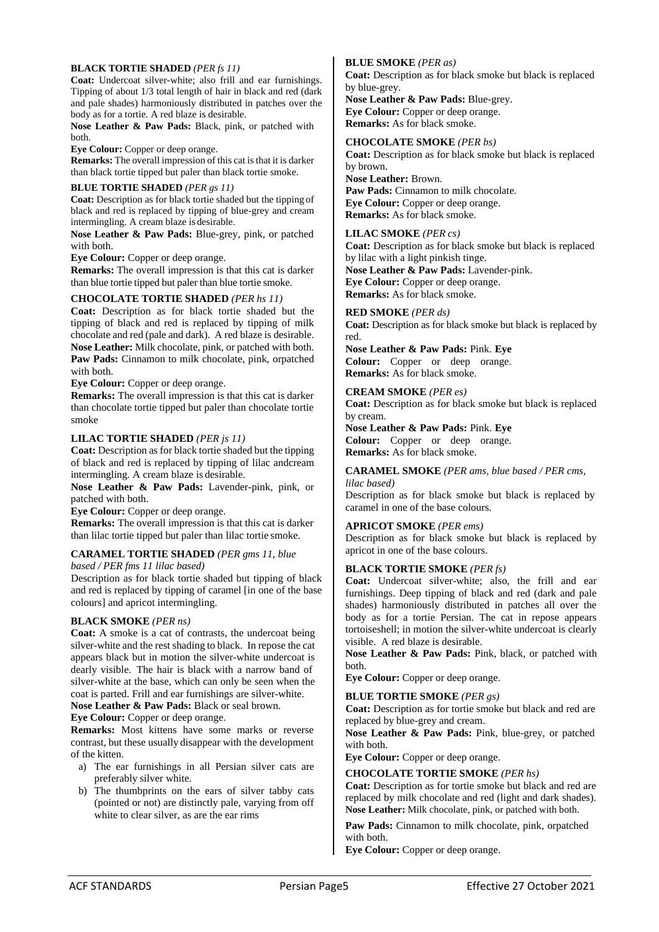### **BLACK TORTIE SHADED** *(PER fs 11)*

**Coat:** Undercoat silver-white; also frill and ear furnishings. Tipping of about 1/3 total length of hair in black and red (dark and pale shades) harmoniously distributed in patches over the body as for a tortie. A red blaze is desirable.

**Nose Leather & Paw Pads:** Black, pink, or patched with both.

**Eye Colour:** Copper or deep orange.

**Remarks:** The overall impression of this cat is that it is darker than black tortie tipped but paler than black tortie smoke.

### **BLUE TORTIE SHADED** *(PER gs 11)*

**Coat:** Description as for black tortie shaded but the tipping of black and red is replaced by tipping of blue-grey and cream intermingling. A cream blaze is desirable.

**Nose Leather & Paw Pads:** Blue-grey, pink, or patched with both.

**Eye Colour:** Copper or deep orange.

**Remarks:** The overall impression is that this cat is darker than blue tortie tipped but paler than blue tortie smoke.

### **CHOCOLATE TORTIE SHADED** *(PER hs 11)*

**Coat:** Description as for black tortie shaded but the tipping of black and red is replaced by tipping of milk chocolate and red (pale and dark). A red blaze is desirable. **Nose Leather:** Milk chocolate, pink, or patched with both. Paw Pads: Cinnamon to milk chocolate, pink, orpatched with both.

**Eye Colour:** Copper or deep orange.

**Remarks:** The overall impression is that this cat is darker than chocolate tortie tipped but paler than chocolate tortie smoke

## **LILAC TORTIE SHADED** *(PER js 11)*

**Coat:** Description as for black tortie shaded but the tipping of black and red is replaced by tipping of lilac andcream intermingling. A cream blaze is desirable.

**Nose Leather & Paw Pads:** Lavender-pink, pink, or patched with both.

**Eye Colour:** Copper or deep orange.

**Remarks:** The overall impression is that this cat is darker than lilac tortie tipped but paler than lilac tortie smoke.

### **CARAMEL TORTIE SHADED** *(PER gms 11, blue*

*based / PER fms 11 lilac based)* 

Description as for black tortie shaded but tipping of black and red is replaced by tipping of caramel [in one of the base colours] and apricot intermingling.

### **BLACK SMOKE** *(PER ns)*

**Coat:** A smoke is a cat of contrasts, the undercoat being silver-white and the rest shading to black. In repose the cat appears black but in motion the silver-white undercoat is dearly visible. The hair is black with a narrow band of silver-white at the base, which can only be seen when the coat is parted. Frill and ear furnishings are silver-white.

**Nose Leather & Paw Pads:** Black or seal brown.

**Eye Colour:** Copper or deep orange.

**Remarks:** Most kittens have some marks or reverse contrast, but these usually disappear with the development of the kitten.

- a) The ear furnishings in all Persian silver cats are preferably silver white.
- b) The thumbprints on the ears of silver tabby cats (pointed or not) are distinctly pale, varying from off white to clear silver, as are the ear rims

### **BLUE SMOKE** *(PER as)*

**Coat:** Description as for black smoke but black is replaced by blue-grey. **Nose Leather & Paw Pads:** Blue-grey. **Eye Colour:** Copper or deep orange.

**Remarks:** As for black smoke.

**CHOCOLATE SMOKE** *(PER bs)*  **Coat:** Description as for black smoke but black is replaced by brown.

**Nose Leather:** Brown. **Paw Pads:** Cinnamon to milk chocolate. **Eye Colour:** Copper or deep orange.

**Remarks:** As for black smoke.

### **LILAC SMOKE** *(PER cs)*

**Coat:** Description as for black smoke but black is replaced by lilac with a light pinkish tinge. **Nose Leather & Paw Pads:** Lavender-pink. **Eye Colour:** Copper or deep orange.

**Remarks:** As for black smoke.

### **RED SMOKE** *(PER ds)*

**Coat:** Description as for black smoke but black is replaced by red.

**Nose Leather & Paw Pads:** Pink. **Eye Colour:** Copper or deep orange. **Remarks:** As for black smoke.

### **CREAM SMOKE** *(PER es)*

**Coat:** Description as for black smoke but black is replaced by cream.

**Nose Leather & Paw Pads:** Pink. **Eye Colour:** Copper or deep orange. **Remarks:** As for black smoke.

## **CARAMEL SMOKE** *(PER ams, blue based / PER cms,*

*lilac based)*  Description as for black smoke but black is replaced by caramel in one of the base colours.

### **APRICOT SMOKE** *(PER ems)*

Description as for black smoke but black is replaced by apricot in one of the base colours.

### **BLACK TORTIE SMOKE** *(PER fs)*

**Coat:** Undercoat silver-white; also, the frill and ear furnishings. Deep tipping of black and red (dark and pale shades) harmoniously distributed in patches all over the body as for a tortie Persian. The cat in repose appears tortoiseshell; in motion the silver-white undercoat is clearly visible. A red blaze is desirable.

**Nose Leather & Paw Pads:** Pink, black, or patched with both.

**Eye Colour:** Copper or deep orange.

### **BLUE TORTIE SMOKE** *(PER gs)*

**Coat:** Description as for tortie smoke but black and red are replaced by blue-grey and cream.

**Nose Leather & Paw Pads:** Pink, blue-grey, or patched with both.

**Eye Colour:** Copper or deep orange.

### **CHOCOLATE TORTIE SMOKE** *(PER hs)*

**Coat:** Description as for tortie smoke but black and red are replaced by milk chocolate and red (light and dark shades). **Nose Leather:** Milk chocolate, pink, or patched with both.

Paw Pads: Cinnamon to milk chocolate, pink, orpatched with both.

**Eye Colour:** Copper or deep orange.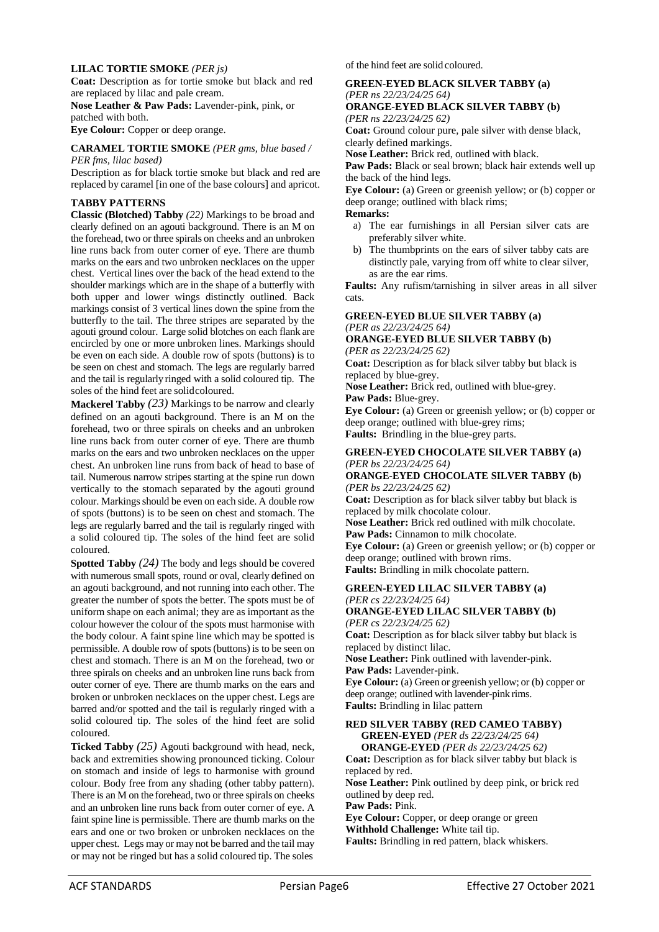### **LILAC TORTIE SMOKE** *(PER js)*

**Coat:** Description as for tortie smoke but black and red are replaced by lilac and pale cream.

**Nose Leather & Paw Pads:** Lavender-pink, pink, or patched with both.

**Eye Colour:** Copper or deep orange.

## **CARAMEL TORTIE SMOKE** *(PER gms, blue based /*

*PER fms, lilac based)*

Description as for black tortie smoke but black and red are replaced by caramel [in one of the base colours] and apricot.

### **TABBY PATTERNS**

**Classic (Blotched) Tabby** *(22)* Markings to be broad and clearly defined on an agouti background. There is an M on the forehead, two or three spirals on cheeks and an unbroken line runs back from outer corner of eye. There are thumb marks on the ears and two unbroken necklaces on the upper chest. Vertical lines over the back of the head extend to the shoulder markings which are in the shape of a butterfly with both upper and lower wings distinctly outlined. Back markings consist of 3 vertical lines down the spine from the butterfly to the tail. The three stripes are separated by the agouti ground colour. Large solid blotches on each flank are encircled by one or more unbroken lines. Markings should be even on each side. A double row of spots (buttons) is to be seen on chest and stomach. The legs are regularly barred and the tail is regularly ringed with a solid coloured tip. The soles of the hind feet are solid coloured.

**Mackerel Tabby** *(23)* Markings to be narrow and clearly defined on an agouti background. There is an M on the forehead, two or three spirals on cheeks and an unbroken line runs back from outer corner of eye. There are thumb marks on the ears and two unbroken necklaces on the upper chest. An unbroken line runs from back of head to base of tail. Numerous narrow stripes starting at the spine run down vertically to the stomach separated by the agouti ground colour. Markings should be even on each side. A double row of spots (buttons) is to be seen on chest and stomach. The legs are regularly barred and the tail is regularly ringed with a solid coloured tip. The soles of the hind feet are solid coloured.

**Spotted Tabby** *(24)* The body and legs should be covered with numerous small spots, round or oval, clearly defined on an agouti background, and not running into each other. The greater the number of spots the better. The spots must be of uniform shape on each animal; they are as important as the colour however the colour of the spots must harmonise with the body colour. A faint spine line which may be spotted is permissible. A double row of spots(buttons) is to be seen on chest and stomach. There is an M on the forehead, two or three spirals on cheeks and an unbroken line runs back from outer corner of eye. There are thumb marks on the ears and broken or unbroken necklaces on the upper chest. Legs are barred and/or spotted and the tail is regularly ringed with a solid coloured tip. The soles of the hind feet are solid coloured.

**Ticked Tabby** *(25)* Agouti background with head, neck, back and extremities showing pronounced ticking. Colour on stomach and inside of legs to harmonise with ground colour. Body free from any shading (other tabby pattern). There is an M on the forehead, two or three spirals on cheeks and an unbroken line runs back from outer corner of eye. A faint spine line is permissible. There are thumb marks on the ears and one or two broken or unbroken necklaces on the upper chest. Legs may or may not be barred and the tail may or may not be ringed but has a solid coloured tip. The soles of the hind feet are solid coloured.

### **GREEN-EYED BLACK SILVER TABBY (a)**  *(PER ns 22/23/24/25 64)*  **ORANGE-EYED BLACK SILVER TABBY (b)**

*(PER ns 22/23/24/25 62)* 

**Coat:** Ground colour pure, pale silver with dense black, clearly defined markings.

**Nose Leather:** Brick red, outlined with black.

Paw Pads: Black or seal brown; black hair extends well up the back of the hind legs.

**Eye Colour:** (a) Green or greenish yellow; or (b) copper or deep orange; outlined with black rims;

**Remarks:**

- a) The ear furnishings in all Persian silver cats are preferably silver white.
- b) The thumbprints on the ears of silver tabby cats are distinctly pale, varying from off white to clear silver, as are the ear rims.

**Faults:** Any rufism/tarnishing in silver areas in all silver cats.

## **GREEN-EYED BLUE SILVER TABBY (a)** *(PER as 22/23/24/25 64)*

## **ORANGE-EYED BLUE SILVER TABBY (b)** *(PER as 22/23/24/25 62)*

**Coat:** Description as for black silver tabby but black is replaced by blue-grey.

**Nose Leather:** Brick red, outlined with blue-grey. **Paw Pads:** Blue-grey.

**Eye Colour:** (a) Green or greenish yellow; or (b) copper or deep orange; outlined with blue-grey rims; **Faults:** Brindling in the blue-grey parts.

### **GREEN-EYED CHOCOLATE SILVER TABBY (a)**  *(PER bs 22/23/24/25 64)*

**ORANGE-EYED CHOCOLATE SILVER TABBY (b)** *(PER bs 22/23/24/25 62)* 

**Coat:** Description as for black silver tabby but black is replaced by milk chocolate colour.

**Nose Leather:** Brick red outlined with milk chocolate. **Paw Pads:** Cinnamon to milk chocolate.

**Eye Colour:** (a) Green or greenish yellow; or (b) copper or deep orange; outlined with brown rims.

**Faults:** Brindling in milk chocolate pattern.

#### **GREEN-EYED LILAC SILVER TABBY (a)**  *(PER cs 22/23/24/25 64)* **ORANGE-EYED LILAC SILVER TABBY (b)**

*(PER cs 22/23/24/25 62)* 

**Coat:** Description as for black silver tabby but black is replaced by distinct lilac. **Nose Leather:** Pink outlined with lavender-pink.

**Paw Pads:** Lavender-pink.

**Eye Colour:** (a) Green or greenish yellow; or (b) copper or deep orange; outlined with lavender-pink rims. **Faults:** Brindling in lilac pattern

## **RED SILVER TABBY (RED CAMEO TABBY) GREEN-EYED** *(PER ds 22/23/24/25 64)*

**ORANGE-EYED** *(PER ds 22/23/24/25 62)*  **Coat:** Description as for black silver tabby but black is replaced by red.

**Nose Leather:** Pink outlined by deep pink, or brick red outlined by deep red.

**Paw Pads:** Pink.

**Eye Colour:** Copper, or deep orange or green

**Withhold Challenge:** White tail tip.

**Faults:** Brindling in red pattern, black whiskers.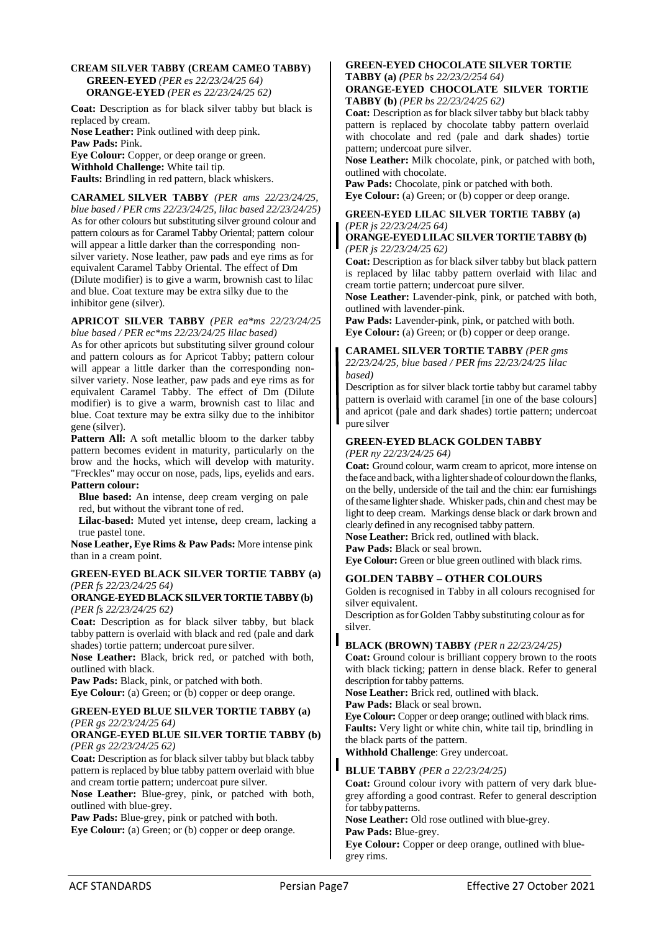### **CREAM SILVER TABBY (CREAM CAMEO TABBY) GREEN-EYED** *(PER es 22/23/24/25 64)*  **ORANGE-EYED** *(PER es 22/23/24/25 62)*

**Coat:** Description as for black silver tabby but black is replaced by cream.

**Nose Leather:** Pink outlined with deep pink. **Paw Pads:** Pink.

**Eye Colour:** Copper, or deep orange or green. **Withhold Challenge:** White tail tip.

**Faults:** Brindling in red pattern, black whiskers.

**CARAMEL SILVER TABBY** *(PER ams 22/23/24/25, blue based / PER cms 22/23/24/25, lilac based 22/23/24/25)*  As for other colours but substituting silver ground colour and pattern colours as for Caramel Tabby Oriental; pattern colour will appear a little darker than the corresponding nonsilver variety. Nose leather, paw pads and eye rims as for equivalent Caramel Tabby Oriental. The effect of Dm (Dilute modifier) is to give a warm, brownish cast to lilac and blue. Coat texture may be extra silky due to the inhibitor gene (silver).

#### **APRICOT SILVER TABBY** *(PER ea\*ms 22/23/24/25 blue based / PER ec\*ms 22/23/24/25 lilac based)*

As for other apricots but substituting silver ground colour and pattern colours as for Apricot Tabby; pattern colour will appear a little darker than the corresponding nonsilver variety. Nose leather, paw pads and eye rims as for equivalent Caramel Tabby. The effect of Dm (Dilute modifier) is to give a warm, brownish cast to lilac and blue. Coat texture may be extra silky due to the inhibitor gene (silver).

Pattern All: A soft metallic bloom to the darker tabby pattern becomes evident in maturity, particularly on the brow and the hocks, which will develop with maturity. "Freckles" may occur on nose, pads, lips, eyelids and ears. **Pattern colour:** 

**Blue based:** An intense, deep cream verging on pale red, but without the vibrant tone of red.

**Lilac-based:** Muted yet intense, deep cream, lacking a true pastel tone.

**Nose Leather, Eye Rims & Paw Pads:** More intense pink than in a cream point.

### **GREEN-EYED BLACK SILVER TORTIE TABBY (a)**  *(PER fs 22/23/24/25 64)*

### **ORANGE-EYEDBLACKSILVER TORTIETABBY (b)** *(PER fs 22/23/24/25 62)*

**Coat:** Description as for black silver tabby, but black tabby pattern is overlaid with black and red (pale and dark shades) tortie pattern; undercoat pure silver.

**Nose Leather:** Black, brick red, or patched with both, outlined with black.

**Paw Pads:** Black, pink, or patched with both.

**Eye Colour:** (a) Green; or (b) copper or deep orange.

### **GREEN-EYED BLUE SILVER TORTIE TABBY (a)**  *(PER gs 22/23/24/25 64)*

### **ORANGE-EYED BLUE SILVER TORTIE TABBY (b)** *(PER gs 22/23/24/25 62)*

**Coat:** Description as for black silver tabby but black tabby pattern is replaced by blue tabby pattern overlaid with blue and cream tortie pattern; undercoat pure silver.

**Nose Leather:** Blue-grey, pink, or patched with both, outlined with blue-grey.

**Paw Pads:** Blue-grey, pink or patched with both. **Eye Colour:** (a) Green; or (b) copper or deep orange.

## **GREEN-EYED CHOCOLATE SILVER TORTIE TABBY (a)** *(PER bs 22/23/2/254 64)*

### **ORANGE-EYED CHOCOLATE SILVER TORTIE TABBY (b)** *(PER bs 22/23/24/25 62)*

**Coat:** Description as for black silver tabby but black tabby pattern is replaced by chocolate tabby pattern overlaid with chocolate and red (pale and dark shades) tortie pattern; undercoat pure silver.

**Nose Leather:** Milk chocolate, pink, or patched with both, outlined with chocolate.

**Paw Pads:** Chocolate, pink or patched with both. **Eye Colour:** (a) Green; or (b) copper or deep orange.

### **GREEN-EYED LILAC SILVER TORTIE TABBY (a)** *(PER js 22/23/24/25 64)*

### **ORANGE-EYED LILAC SILVER TORTIE TABBY (b)** *(PER js 22/23/24/25 62)*

**Coat:** Description as for black silver tabby but black pattern is replaced by lilac tabby pattern overlaid with lilac and cream tortie pattern; undercoat pure silver.

**Nose Leather:** Lavender-pink, pink, or patched with both, outlined with lavender-pink.

Paw Pads: Lavender-pink, pink, or patched with both. **Eye Colour:** (a) Green; or (b) copper or deep orange.

### **CARAMEL SILVER TORTIE TABBY** *(PER gms*

*22/23/24/25, blue based / PER fms 22/23/24/25 lilac based)* 

Description as for silver black tortie tabby but caramel tabby pattern is overlaid with caramel [in one of the base colours] and apricot (pale and dark shades) tortie pattern; undercoat pure silver

## **GREEN-EYED BLACK GOLDEN TABBY**

*(PER ny 22/23/24/25 64)*

**Coat:** Ground colour, warm cream to apricot, more intense on the face and back, with a lighter shade of colour down the flanks, on the belly, underside of the tail and the chin: ear furnishings of the same lighter shade. Whisker pads, chin and chest may be light to deep cream. Markings dense black or dark brown and clearly defined in any recognised tabby pattern.

**Nose Leather:** Brick red, outlined with black.

**Paw Pads:** Black or seal brown. **Eye Colour:** Green or blue green outlined with black rims.

## **GOLDEN TABBY – OTHER COLOURS**

Golden is recognised in Tabby in all colours recognised for silver equivalent.

Description asfor Golden Tabby substituting colour as for silver.

## **BLACK (BROWN) TABBY** *(PER n 22/23/24/25)*

**Coat:** Ground colour is brilliant coppery brown to the roots with black ticking; pattern in dense black. Refer to general description for tabby patterns.

**Nose Leather:** Brick red, outlined with black.

**Paw Pads:** Black or seal brown.

**Eye Colour:** Copper or deep orange; outlined with black rims. **Faults:** Very light or white chin, white tail tip, brindling in the black parts of the pattern.

**Withhold Challenge**: Grey undercoat.

## **BLUE TABBY** *(PER a 22/23/24/25)*

**Coat:** Ground colour ivory with pattern of very dark bluegrey affording a good contrast. Refer to general description for tabby patterns.

**Nose Leather:** Old rose outlined with blue-grey.

**Paw Pads:** Blue-grey.

**Eye Colour:** Copper or deep orange, outlined with bluegrey rims.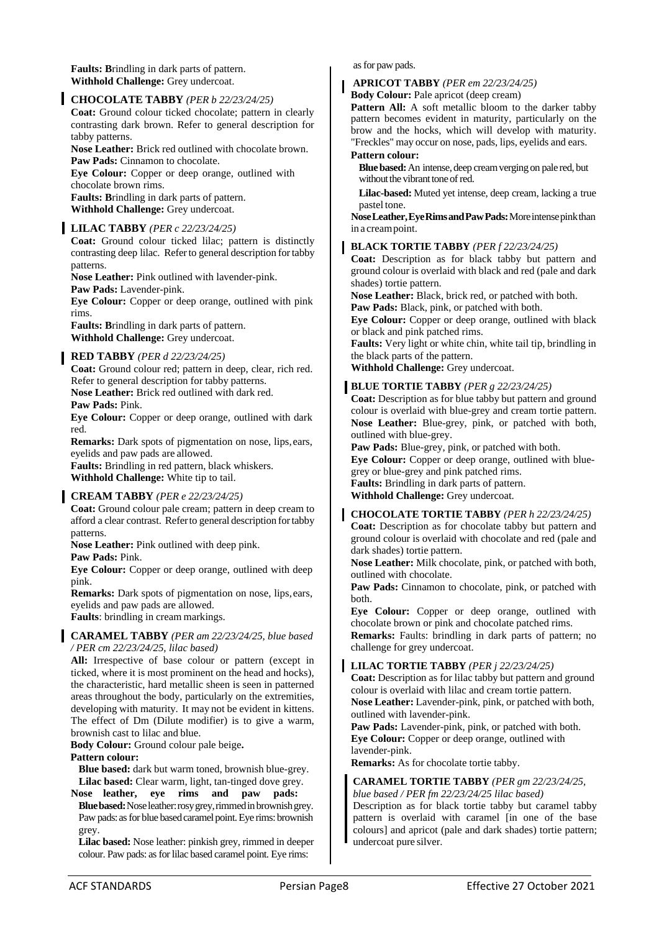**Faults: B**rindling in dark parts of pattern. **Withhold Challenge:** Grey undercoat.

### **CHOCOLATE TABBY** *(PER b 22/23/24/25)*

**Coat:** Ground colour ticked chocolate; pattern in clearly contrasting dark brown. Refer to general description for tabby patterns.

**Nose Leather:** Brick red outlined with chocolate brown. **Paw Pads:** Cinnamon to chocolate.

**Eye Colour:** Copper or deep orange, outlined with chocolate brown rims.

**Faults: B**rindling in dark parts of pattern. **Withhold Challenge:** Grey undercoat.

### **LILAC TABBY** *(PER c 22/23/24/25)*

**Coat:** Ground colour ticked lilac; pattern is distinctly contrasting deep lilac. Referto general description fortabby patterns.

**Nose Leather:** Pink outlined with lavender-pink.

**Paw Pads:** Lavender-pink.

**Eye Colour:** Copper or deep orange, outlined with pink rims.

**Faults: B**rindling in dark parts of pattern. **Withhold Challenge:** Grey undercoat.

### **RED TABBY** *(PER d 22/23/24/25)*

**Coat:** Ground colour red; pattern in deep, clear, rich red. Refer to general description for tabby patterns. **Nose Leather:** Brick red outlined with dark red. **Paw Pads:** Pink.

**Eye Colour:** Copper or deep orange, outlined with dark red.

**Remarks:** Dark spots of pigmentation on nose, lips, ears, eyelids and paw pads are allowed. **Faults:** Brindling in red pattern, black whiskers.

**Withhold Challenge:** White tip to tail.

## **CREAM TABBY** *(PER e 22/23/24/25)*

**Coat:** Ground colour pale cream; pattern in deep cream to afford a clear contrast. Referto general description fortabby patterns.

**Nose Leather:** Pink outlined with deep pink.

**Paw Pads:** Pink.

**Eye Colour:** Copper or deep orange, outlined with deep pink.

**Remarks:** Dark spots of pigmentation on nose, lips, ears, eyelids and paw pads are allowed.

**Faults**: brindling in cream markings.

### **CARAMEL TABBY** *(PER am 22/23/24/25, blue based / PER cm 22/23/24/25, lilac based)*

**All:** Irrespective of base colour or pattern (except in ticked, where it is most prominent on the head and hocks), the characteristic, hard metallic sheen is seen in patterned areas throughout the body, particularly on the extremities, developing with maturity. It may not be evident in kittens. The effect of Dm (Dilute modifier) is to give a warm, brownish cast to lilac and blue.

**Body Colour:** Ground colour pale beige**.** 

### **Pattern colour:**

**Blue based:** dark but warm toned, brownish blue-grey. **Lilac based:** Clear warm, light, tan-tinged dove grey.

**Nose leather, eye rims and paw pads: Blue based:** Nose leather: rosy grey, rimmed in brownish grey. Paw pads: as for blue based caramel point. Eye rims: brownish grey.

**Lilac based:** Nose leather: pinkish grey, rimmed in deeper colour. Paw pads: as for lilac based caramel point. Eye rims:

as for paw pads.

### **APRICOT TABBY** *(PER em 22/23/24/25)*

**Body Colour:** Pale apricot (deep cream)

Pattern All: A soft metallic bloom to the darker tabby pattern becomes evident in maturity, particularly on the brow and the hocks, which will develop with maturity. "Freckles" may occur on nose, pads, lips, eyelids and ears.

### **Pattern colour:**

**Blue based:** An intense, deep cream verging on pale red, but without the vibrant tone of red.

**Lilac-based:** Muted yet intense, deep cream, lacking a true pastel tone.

**NoseLeather,EyeRimsandPawPads:**Moreintensepinkthan in a cream point.

### **BLACK TORTIE TABBY** *(PER f 22/23/24/25)*

**Coat:** Description as for black tabby but pattern and ground colour is overlaid with black and red (pale and dark shades) tortie pattern.

**Nose Leather:** Black, brick red, or patched with both.

**Paw Pads:** Black, pink, or patched with both.

**Eye Colour:** Copper or deep orange, outlined with black or black and pink patched rims.

**Faults:** Very light or white chin, white tail tip, brindling in the black parts of the pattern.

**Withhold Challenge:** Grey undercoat.

## **BLUE TORTIE TABBY** *(PER g 22/23/24/25)*

**Coat:** Description as for blue tabby but pattern and ground colour is overlaid with blue-grey and cream tortie pattern. **Nose Leather:** Blue-grey, pink, or patched with both, outlined with blue-grey.

**Paw Pads:** Blue-grey, pink, or patched with both.

**Eye Colour:** Copper or deep orange, outlined with bluegrey or blue-grey and pink patched rims.

**Faults:** Brindling in dark parts of pattern.

**Withhold Challenge:** Grey undercoat.

### **CHOCOLATE TORTIE TABBY** *(PER h 22/23/24/25)*  **Coat:** Description as for chocolate tabby but pattern and ground colour is overlaid with chocolate and red (pale and dark shades) tortie pattern.

**Nose Leather:** Milk chocolate, pink, or patched with both, outlined with chocolate.

Paw Pads: Cinnamon to chocolate, pink, or patched with both.

**Eye Colour:** Copper or deep orange, outlined with chocolate brown or pink and chocolate patched rims.

**Remarks:** Faults: brindling in dark parts of pattern; no challenge for grey undercoat.

## **LILAC TORTIE TABBY** *(PER j 22/23/24/25)*

**Coat:** Description as for lilac tabby but pattern and ground colour is overlaid with lilac and cream tortie pattern. **Nose Leather:** Lavender-pink, pink, or patched with both, outlined with lavender-pink.

Paw Pads: Lavender-pink, pink, or patched with both. **Eye Colour:** Copper or deep orange, outlined with lavender-pink.

**Remarks:** As for chocolate tortie tabby.

## **CARAMEL TORTIE TABBY** *(PER gm 22/23/24/25,*

*blue based / PER fm 22/23/24/25 lilac based)*  Description as for black tortie tabby but caramel tabby pattern is overlaid with caramel [in one of the base colours] and apricot (pale and dark shades) tortie pattern; undercoat pure silver.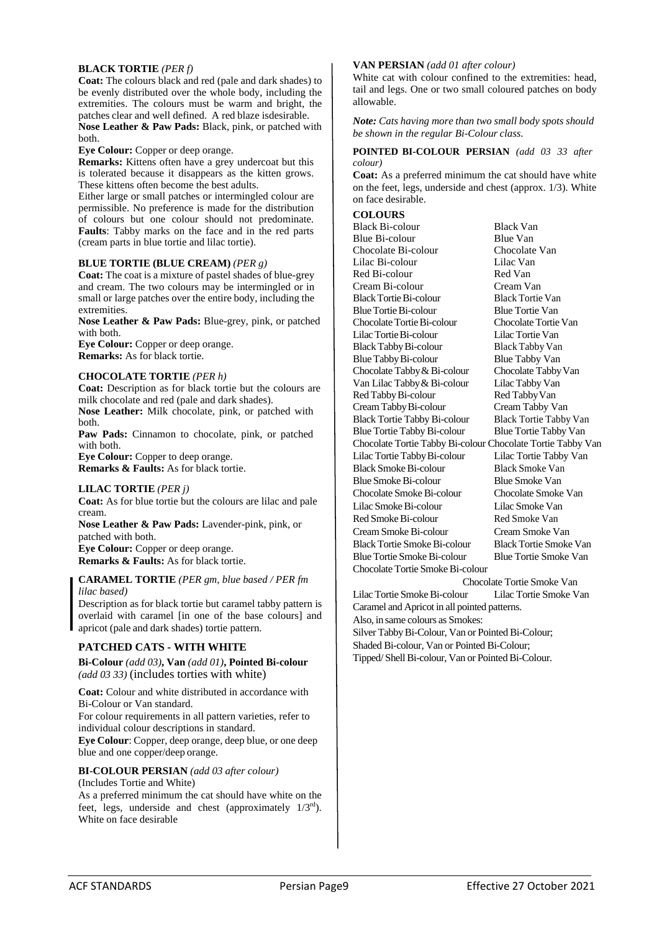### **BLACK TORTIE** *(PER f)*

**Coat:** The colours black and red (pale and dark shades) to be evenly distributed over the whole body, including the extremities. The colours must be warm and bright, the patches clear and well defined. A red blaze isdesirable.

**Nose Leather & Paw Pads:** Black, pink, or patched with both.

**Eye Colour:** Copper or deep orange.

**Remarks:** Kittens often have a grey undercoat but this is tolerated because it disappears as the kitten grows. These kittens often become the best adults.

Either large or small patches or intermingled colour are permissible. No preference is made for the distribution of colours but one colour should not predominate. **Faults**: Tabby marks on the face and in the red parts (cream parts in blue tortie and lilac tortie).

## **BLUE TORTIE (BLUE CREAM)** *(PER g)*

**Coat:** The coat is a mixture of pastel shades of blue-grey and cream. The two colours may be intermingled or in small or large patches over the entire body, including the extremities.

**Nose Leather & Paw Pads:** Blue-grey, pink, or patched with both.

**Eye Colour:** Copper or deep orange. **Remarks:** As for black tortie.

### **CHOCOLATE TORTIE** *(PER h)*

**Coat:** Description as for black tortie but the colours are milk chocolate and red (pale and dark shades).

**Nose Leather:** Milk chocolate, pink, or patched with both.

**Paw Pads:** Cinnamon to chocolate, pink, or patched with both.

**Eye Colour:** Copper to deep orange. **Remarks & Faults:** As for black tortie.

### **LILAC TORTIE** *(PER j)*

**Coat:** As for blue tortie but the colours are lilac and pale cream.

**Nose Leather & Paw Pads:** Lavender-pink, pink, or patched with both.

**Eye Colour:** Copper or deep orange. **Remarks & Faults:** As for black tortie.

**CARAMEL TORTIE** *(PER gm, blue based / PER fm lilac based)* 

Description as for black tortie but caramel tabby pattern is overlaid with caramel [in one of the base colours] and apricot (pale and dark shades) tortie pattern.

### **PATCHED CATS - WITH WHITE**

**Bi-Colour** *(add 03)***, Van** *(add 01)***, Pointed Bi-colour**  *(add 03 33)* (includes torties with white)

**Coat:** Colour and white distributed in accordance with Bi-Colour or Van standard. For colour requirements in all pattern varieties, refer to individual colour descriptions in standard. **Eye Colour**: Copper, deep orange, deep blue, or one deep blue and one copper/deep orange.

**BI-COLOUR PERSIAN** *(add 03 after colour)*

(Includes Tortie and White) As a preferred minimum the cat should have white on the feet, legs, underside and chest (approximately  $1/3^{rd}$ ). White on face desirable

### **VAN PERSIAN** *(add 01 after colour)*

White cat with colour confined to the extremities: head, tail and legs. One or two small coloured patches on body allowable.

*Note: Cats having more than two small body spots should be shown in the regular Bi-Colour class.*

### **POINTED BI-COLOUR PERSIAN** *(add 03 33 after colour)*

**Coat:** As a preferred minimum the cat should have white on the feet, legs, underside and chest (approx. 1/3). White on face desirable.

### **COLOURS**

Black Bi-colour Black Van Blue Bi-colour Blue Van<br>
Chocolate Bi-colour Chocolate Van Chocolate Bi-colour<br>
Lilac Bi-colour<br>
Lilac Van Lilac Bi-colour Lilac Van Red Bi-colour<br>
Cream Bi-colour
Cream Van Cream Bi-colour Cream Van<br>Black Tortie Bi-colour Black Tortie Van Black Tortie Bi-colour Blue Tortie Bi-colour Blue Tortie Van<br>Chocolate Tortie Bi-colour Chocolate Tortie Van Chocolate Tortie Bi-colour Chocolate Tortie<br>Lilac Tortie Bi-colour Lilac Tortie Van Lilac Tortie Bi-colour BlackTabbyBi-colour Black Tabby Van Blue Tabby Bi-colour Blue Tabby Van<br>
Chocolate Tabby & Bi-colour Chocolate Tabby Van Chocolate Tabby & Bi-colour Chocolate Tabby<br>
Van Lilac Tabby & Bi-colour Lilac Tabby Van Van Lilac Tabby & Bi-colour Lilac Tabby Van Red Tabby Van Red Tabby Van Red Tabby Bi-colour Cream TabbyBi-colour Cream Tabby Van Black Tortie TabbyBi-colour Black Tortie Tabby Van Blue Tortie Tabby Bi-colour Blue Tortie Tabby Van Chocolate Tortie Tabby Bi-colour Chocolate Tortie Tabby Van Lilac Tortie TabbyBi-colour Lilac Tortie Tabby Van Black SmokeBi-colour Black Smoke Van Blue Smoke Bi-colour Blue Smoke Van Chocolate SmokeBi-colour Chocolate Smoke Van Lilac SmokeBi-colour Lilac Smoke Van Red Smoke Bi-colour Red Smoke Van Cream Smoke Bi-colour Cream Smoke Van BlackTortie SmokeBi-colour BlackTortie Smoke Van Blue Tortie SmokeBi-colour Blue Tortie Smoke Van Chocolate Tortie SmokeBi-colour

Chocolate Tortie Smoke Van

Lilac Tortie SmokeBi-colour Lilac Tortie Smoke Van Caramel and Apricot in all pointed patterns. Also, in same colours as Smokes: Silver Tabby Bi-Colour, Van or Pointed Bi-Colour; Shaded Bi-colour, Van or Pointed Bi-Colour; Tipped/ Shell Bi-colour, Van or Pointed Bi-Colour.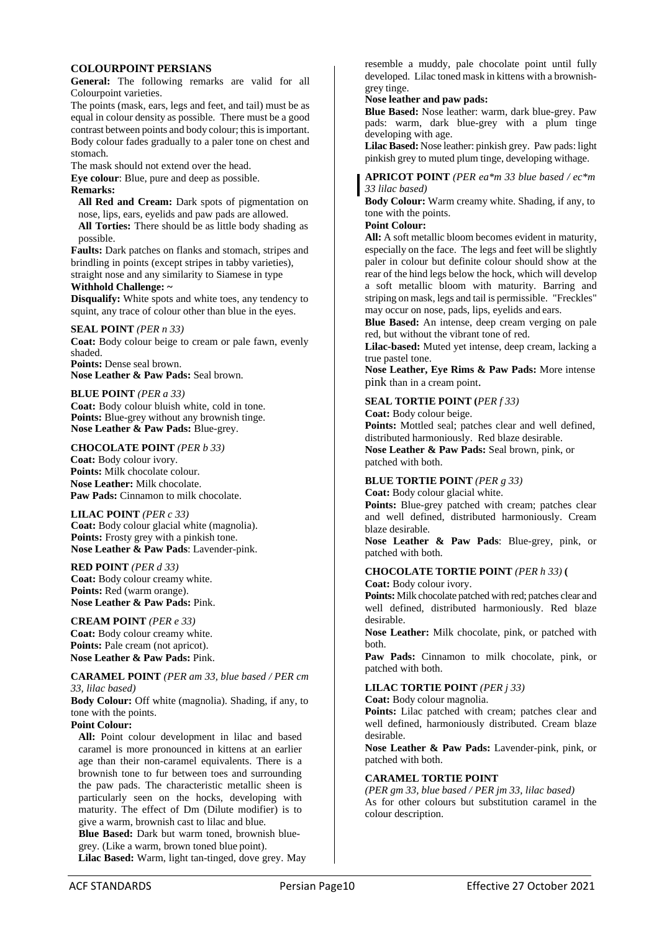### **COLOURPOINT PERSIANS**

**General:** The following remarks are valid for all Colourpoint varieties.

The points (mask, ears, legs and feet, and tail) must be as equal in colour density as possible. There must be a good contrast between points and body colour; this is important. Body colour fades gradually to a paler tone on chest and stomach.

The mask should not extend over the head.

**Eye colour**: Blue, pure and deep as possible. **Remarks:**

**All Red and Cream:** Dark spots of pigmentation on nose, lips, ears, eyelids and paw pads are allowed. **All Torties:** There should be as little body shading as possible.

**Faults:** Dark patches on flanks and stomach, stripes and brindling in points (except stripes in tabby varieties),

straight nose and any similarity to Siamese in type **Withhold Challenge: ~**

**Disqualify:** White spots and white toes, any tendency to squint, any trace of colour other than blue in the eves.

**SEAL POINT** *(PER n 33)* 

**Coat:** Body colour beige to cream or pale fawn, evenly shaded.

**Points:** Dense seal brown. **Nose Leather & Paw Pads:** Seal brown.

**BLUE POINT** *(PER a 33)* **Coat:** Body colour bluish white, cold in tone. **Points:** Blue-grey without any brownish tinge. **Nose Leather & Paw Pads:** Blue-grey.

**CHOCOLATE POINT** *(PER b 33)* 

**Coat:** Body colour ivory. **Points:** Milk chocolate colour. **Nose Leather:** Milk chocolate. **Paw Pads:** Cinnamon to milk chocolate.

**LILAC POINT** *(PER c 33)*  **Coat:** Body colour glacial white (magnolia). Points: Frosty grey with a pinkish tone. **Nose Leather & Paw Pads**: Lavender-pink.

**RED POINT** *(PER d 33)*  **Coat:** Body colour creamy white. **Points:** Red (warm orange). **Nose Leather & Paw Pads:** Pink.

**CREAM POINT** *(PER e 33)*  **Coat:** Body colour creamy white. Points: Pale cream (not apricot). **Nose Leather & Paw Pads:** Pink.

**CARAMEL POINT** *(PER am 33, blue based / PER cm 33, lilac based)*

**Body Colour:** Off white (magnolia). Shading, if any, to tone with the points.

## **Point Colour:**

**All:** Point colour development in lilac and based caramel is more pronounced in kittens at an earlier age than their non-caramel equivalents. There is a brownish tone to fur between toes and surrounding the paw pads. The characteristic metallic sheen is particularly seen on the hocks, developing with maturity. The effect of Dm (Dilute modifier) is to give a warm, brownish cast to lilac and blue.

**Blue Based:** Dark but warm toned, brownish bluegrey. (Like a warm, brown toned blue point).

**Lilac Based:** Warm, light tan-tinged, dove grey. May

resemble a muddy, pale chocolate point until fully developed. Lilac toned mask in kittens with a brownishgrey tinge.

### **Nose leather and paw pads:**

**Blue Based:** Nose leather: warm, dark blue-grey. Paw pads: warm, dark blue-grey with a plum tinge developing with age.

**Lilac Based:** Nose leather: pinkish grey. Paw pads: light pinkish grey to muted plum tinge, developing withage.

**APRICOT POINT** *(PER ea\*m 33 blue based / ec\*m 33 lilac based)* 

**Body Colour:** Warm creamy white. Shading, if any, to tone with the points.

### **Point Colour:**

**All:** A soft metallic bloom becomes evident in maturity, especially on the face. The legs and feet will be slightly paler in colour but definite colour should show at the rear of the hind legs below the hock, which will develop a soft metallic bloom with maturity. Barring and striping on mask, legs and tail is permissible. "Freckles" may occur on nose, pads, lips, eyelids and ears.

**Blue Based:** An intense, deep cream verging on pale red, but without the vibrant tone of red.

**Lilac-based:** Muted yet intense, deep cream, lacking a true pastel tone.

**Nose Leather, Eye Rims & Paw Pads:** More intense pink than in a cream point.

### **SEAL TORTIE POINT (***PER f 33)*

**Coat:** Body colour beige. **Points:** Mottled seal; patches clear and well defined, distributed harmoniously. Red blaze desirable. **Nose Leather & Paw Pads:** Seal brown, pink, or patched with both.

### **BLUE TORTIE POINT** *(PER g 33)*

**Coat:** Body colour glacial white.

Points: Blue-grey patched with cream; patches clear and well defined, distributed harmoniously. Cream blaze desirable.

**Nose Leather & Paw Pads**: Blue-grey, pink, or patched with both.

### **CHOCOLATE TORTIE POINT** *(PER h 33)* **(**

**Coat:** Body colour ivory.

**Points:** Milk chocolate patched with red; patches clear and well defined, distributed harmoniously. Red blaze desirable.

**Nose Leather:** Milk chocolate, pink, or patched with both.

**Paw Pads:** Cinnamon to milk chocolate, pink, or patched with both.

### **LILAC TORTIE POINT** *(PER j 33)*

**Coat:** Body colour magnolia.

**Points:** Lilac patched with cream; patches clear and well defined, harmoniously distributed. Cream blaze desirable.

**Nose Leather & Paw Pads:** Lavender-pink, pink, or patched with both.

### **CARAMEL TORTIE POINT**

*(PER gm 33, blue based / PER jm 33, lilac based)*  As for other colours but substitution caramel in the colour description.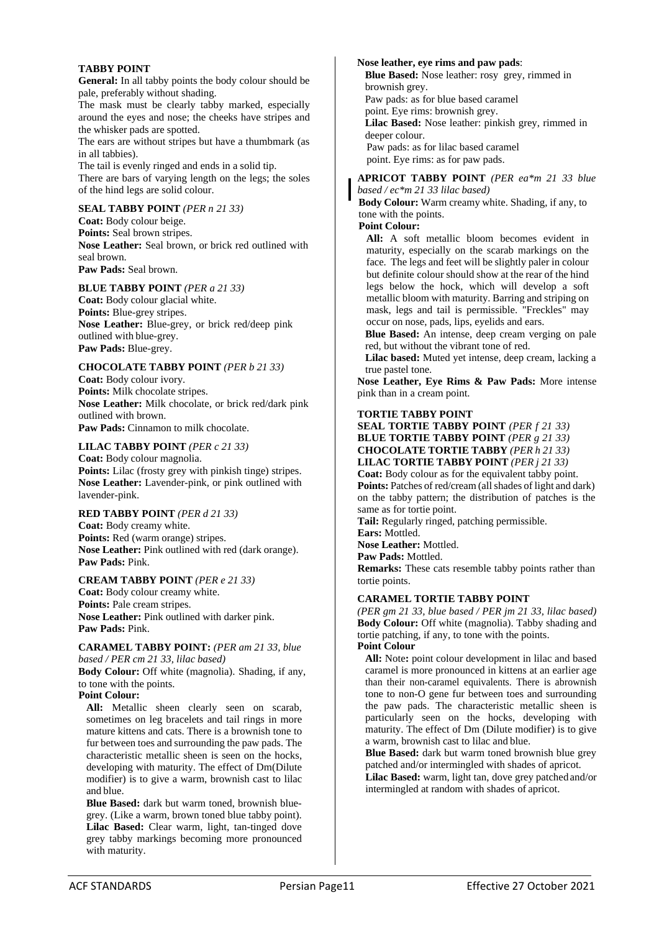### **TABBY POINT**

**General:** In all tabby points the body colour should be pale, preferably without shading.

The mask must be clearly tabby marked, especially around the eyes and nose; the cheeks have stripes and the whisker pads are spotted.

The ears are without stripes but have a thumbmark (as in all tabbies).

The tail is evenly ringed and ends in a solid tip. There are bars of varying length on the legs; the soles of the hind legs are solid colour.

### **SEAL TABBY POINT** *(PER n 21 33)*

**Coat:** Body colour beige. **Points:** Seal brown stripes. **Nose Leather:** Seal brown, or brick red outlined with seal brown. **Paw Pads:** Seal brown.

### **BLUE TABBY POINT** *(PER a 21 33)*

**Coat:** Body colour glacial white. **Points:** Blue-grey stripes. **Nose Leather:** Blue-grey, or brick red/deep pink outlined with blue-grey. **Paw Pads:** Blue-grey.

### **CHOCOLATE TABBY POINT** *(PER b 21 33)*

**Coat:** Body colour ivory. **Points:** Milk chocolate stripes. **Nose Leather:** Milk chocolate, or brick red/dark pink outlined with brown. **Paw Pads:** Cinnamon to milk chocolate.

**LILAC TABBY POINT** *(PER c 21 33)* 

**Coat:** Body colour magnolia. **Points:** Lilac (frosty grey with pinkish tinge) stripes. **Nose Leather:** Lavender-pink, or pink outlined with lavender-pink.

### **RED TABBY POINT** *(PER d 21 33)*

**Coat:** Body creamy white. **Points:** Red (warm orange) stripes. **Nose Leather:** Pink outlined with red (dark orange). **Paw Pads:** Pink.

### **CREAM TABBY POINT** *(PER e 21 33)*

**Coat:** Body colour creamy white. **Points:** Pale cream stripes. **Nose Leather:** Pink outlined with darker pink. **Paw Pads:** Pink.

**CARAMEL TABBY POINT:** *(PER am 21 33, blue based / PER cm 21 33, lilac based)*  **Body Colour:** Off white (magnolia). Shading, if any, to tone with the points.

### **Point Colour:**

**All:** Metallic sheen clearly seen on scarab, sometimes on leg bracelets and tail rings in more mature kittens and cats. There is a brownish tone to fur between toes and surrounding the paw pads. The characteristic metallic sheen is seen on the hocks, developing with maturity. The effect of Dm(Dilute modifier) is to give a warm, brownish cast to lilac and blue.

**Blue Based:** dark but warm toned, brownish bluegrey. (Like a warm, brown toned blue tabby point). **Lilac Based:** Clear warm, light, tan-tinged dove grey tabby markings becoming more pronounced with maturity.

## **Nose leather, eye rims and paw pads**:

**Blue Based:** Nose leather: rosy grey, rimmed in brownish grey. Paw pads: as for blue based caramel point. Eye rims: brownish grey. **Lilac Based:** Nose leather: pinkish grey, rimmed in

deeper colour. Paw pads: as for lilac based caramel

point. Eye rims: as for paw pads.

**APRICOT TABBY POINT** *(PER ea\*m 21 33 blue based / ec\*m 21 33 lilac based)* 

**Body Colour:** Warm creamy white. Shading, if any, to tone with the points.

### **Point Colour:**

**All:** A soft metallic bloom becomes evident in maturity, especially on the scarab markings on the face. The legs and feet will be slightly paler in colour but definite colour should show at the rear of the hind legs below the hock, which will develop a soft metallic bloom with maturity. Barring and striping on mask, legs and tail is permissible. "Freckles" may occur on nose, pads, lips, eyelids and ears.

**Blue Based:** An intense, deep cream verging on pale red, but without the vibrant tone of red.

**Lilac based:** Muted yet intense, deep cream, lacking a true pastel tone.

**Nose Leather, Eye Rims & Paw Pads:** More intense pink than in a cream point.

### **TORTIE TABBY POINT**

**SEAL TORTIE TABBY POINT** *(PER f 21 33)* **BLUE TORTIE TABBY POINT** *(PER g 21 33)* **CHOCOLATE TORTIE TABBY** *(PER h 21 33)*  **LILAC TORTIE TABBY POINT** *(PER j 21 33)*  **Coat:** Body colour as for the equivalent tabby point. **Points:** Patches of red/cream (allshades of light and dark) on the tabby pattern; the distribution of patches is the same as for tortie point.

**Tail:** Regularly ringed, patching permissible.

**Ears:** Mottled.

**Nose Leather:** Mottled.

**Paw Pads:** Mottled.

**Remarks:** These cats resemble tabby points rather than tortie points.

### **CARAMEL TORTIE TABBY POINT**

*(PER gm 21 33, blue based / PER jm 21 33, lilac based)* **Body Colour:** Off white (magnolia). Tabby shading and tortie patching, if any, to tone with the points. **Point Colour** 

All: Note: point colour development in lilac and based caramel is more pronounced in kittens at an earlier age than their non-caramel equivalents. There is abrownish tone to non-O gene fur between toes and surrounding the paw pads. The characteristic metallic sheen is particularly seen on the hocks, developing with maturity. The effect of Dm (Dilute modifier) is to give a warm, brownish cast to lilac and blue.

**Blue Based:** dark but warm toned brownish blue grey patched and/or intermingled with shades of apricot. **Lilac Based:** warm, light tan, dove grey patched and/or intermingled at random with shades of apricot.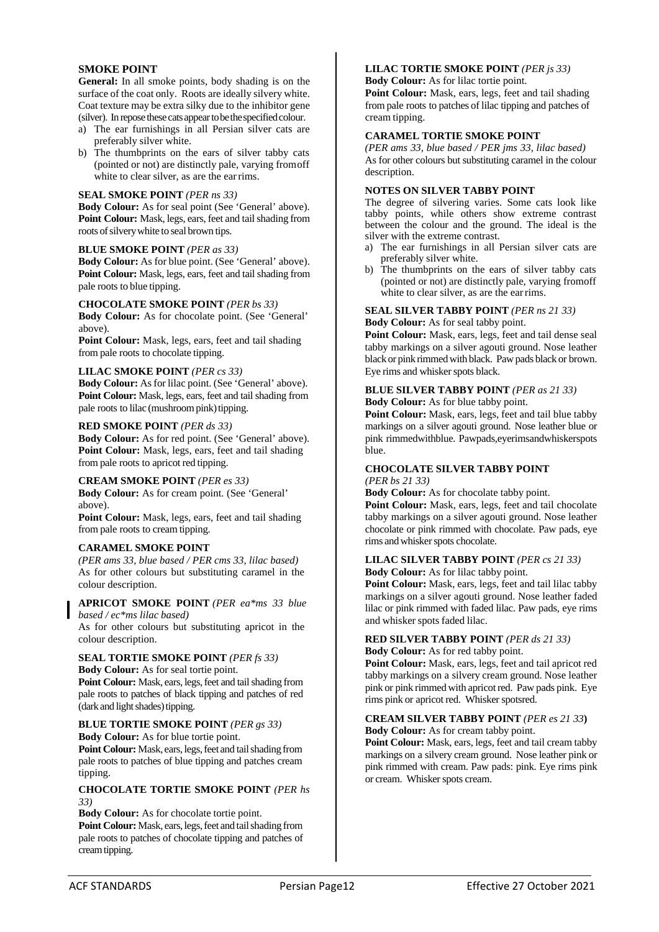### **SMOKE POINT**

**General:** In all smoke points, body shading is on the surface of the coat only. Roots are ideally silvery white. Coat texture may be extra silky due to the inhibitor gene (silver). In repose these cats appear to be the specified colour.

- a) The ear furnishings in all Persian silver cats are preferably silver white.
- b) The thumbprints on the ears of silver tabby cats (pointed or not) are distinctly pale, varying from off white to clear silver, as are the earrims.

### **SEAL SMOKE POINT** *(PER ns 33)*

**Body Colour:** As for seal point (See 'General' above). Point Colour: Mask, legs, ears, feet and tail shading from roots of silvery white to seal brown tips.

### **BLUE SMOKE POINT** *(PER as 33)*

**Body Colour:** As for blue point. (See 'General' above). **Point Colour:** Mask, legs, ears, feet and tail shading from pale roots to blue tipping.

### **CHOCOLATE SMOKE POINT** *(PER bs 33)*

**Body Colour:** As for chocolate point. (See 'General' above).

**Point Colour:** Mask, legs, ears, feet and tail shading from pale roots to chocolate tipping.

### **LILAC SMOKE POINT** *(PER cs 33)*

Body Colour: As for lilac point. (See 'General' above). Point Colour: Mask, legs, ears, feet and tail shading from pale roots to lilac (mushroom pink) tipping.

### **RED SMOKE POINT** *(PER ds 33)*

**Body Colour:** As for red point. (See 'General' above). **Point Colour:** Mask, legs, ears, feet and tail shading from pale roots to apricot red tipping.

### **CREAM SMOKE POINT** *(PER es 33)*

**Body Colour:** As for cream point. (See 'General' above).

**Point Colour:** Mask, legs, ears, feet and tail shading from pale roots to cream tipping.

### **CARAMEL SMOKE POINT**

*(PER ams 33, blue based / PER cms 33, lilac based)* As for other colours but substituting caramel in the colour description.

**APRICOT SMOKE POINT** *(PER ea\*ms 33 blue based / ec\*ms lilac based)* 

As for other colours but substituting apricot in the colour description.

### **SEAL TORTIE SMOKE POINT** *(PER fs 33)*

**Body Colour:** As for seal tortie point. Point Colour: Mask, ears, legs, feet and tail shading from pale roots to patches of black tipping and patches of red (dark and light shades) tipping.

#### **BLUE TORTIE SMOKE POINT** *(PER gs 33)* **Body Colour:** As for blue tortie point.

Point Colour: Mask, ears, legs, feet and tail shading from pale roots to patches of blue tipping and patches cream tipping.

### **CHOCOLATE TORTIE SMOKE POINT** *(PER hs 33)*

**Body Colour:** As for chocolate tortie point. Point Colour: Mask, ears, legs, feet and tail shading from pale roots to patches of chocolate tipping and patches of creamtipping.

## **LILAC TORTIE SMOKE POINT** *(PER js 33)*

**Body Colour:** As for lilac tortie point.

Point Colour: Mask, ears, legs, feet and tail shading from pale roots to patches of lilac tipping and patches of cream tipping.

### **CARAMEL TORTIE SMOKE POINT**

*(PER ams 33, blue based / PER jms 33, lilac based)*  As for other colours but substituting caramel in the colour description.

### **NOTES ON SILVER TABBY POINT**

The degree of silvering varies. Some cats look like tabby points, while others show extreme contrast between the colour and the ground. The ideal is the silver with the extreme contrast.

- a) The ear furnishings in all Persian silver cats are preferably silver white.
- b) The thumbprints on the ears of silver tabby cats (pointed or not) are distinctly pale, varying fromoff white to clear silver, as are the earrims.

## **SEAL SILVER TABBY POINT** *(PER ns 21 33)*

**Body Colour:** As for seal tabby point.

**Point Colour:** Mask, ears, legs, feet and tail dense seal tabby markings on a silver agouti ground. Nose leather black or pink rimmed with black. Paw pads black or brown. Eye rims and whisker spots black.

### **BLUE SILVER TABBY POINT** *(PER as 21 33)*  **Body Colour:** As for blue tabby point.

**Point Colour:** Mask, ears, legs, feet and tail blue tabby markings on a silver agouti ground. Nose leather blue or pink rimmedwithblue. Pawpads,eyerimsandwhiskerspots blue.

### **CHOCOLATE SILVER TABBY POINT** *(PER bs 21 33)*

**Body Colour:** As for chocolate tabby point.

Point Colour: Mask, ears, legs, feet and tail chocolate tabby markings on a silver agouti ground. Nose leather chocolate or pink rimmed with chocolate. Paw pads, eye rims and whisker spots chocolate.

### **LILAC SILVER TABBY POINT** *(PER cs 21 33)*

**Body Colour:** As for lilac tabby point.

**Point Colour:** Mask, ears, legs, feet and tail lilac tabby markings on a silver agouti ground. Nose leather faded lilac or pink rimmed with faded lilac. Paw pads, eye rims and whisker spots faded lilac.

## **RED SILVER TABBY POINT** *(PER ds 21 33)*

**Body Colour:** As for red tabby point.

**Point Colour:** Mask, ears, legs, feet and tail apricot red tabby markings on a silvery cream ground. Nose leather pink or pink rimmed with apricotred. Paw pads pink. Eye rims pink or apricot red. Whisker spotsred.

## **CREAM SILVER TABBY POINT** *(PER es 21 33***)**

**Body Colour:** As for cream tabby point.

**Point Colour:** Mask, ears, legs, feet and tail cream tabby markings on a silvery cream ground. Nose leather pink or pink rimmed with cream. Paw pads: pink. Eye rims pink or cream. Whisker spots cream.